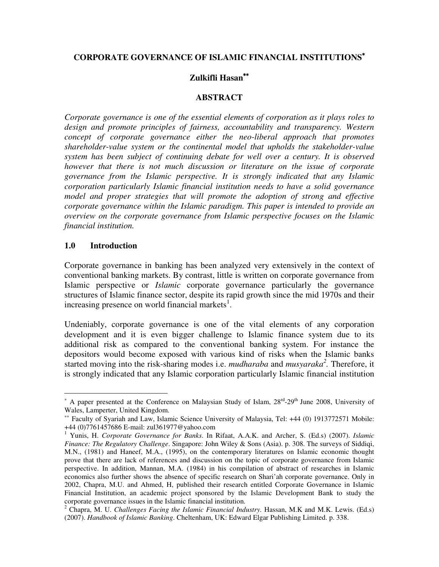### **CORPORATE GOVERNANCE OF ISLAMIC FINANCIAL INSTITUTIONS**<sup>∗</sup>

### **Zulkifli Hasan**∗∗

#### **ABSTRACT**

*Corporate governance is one of the essential elements of corporation as it plays roles to*  design and promote principles of fairness, accountability and transparency. Western *concept of corporate governance either the neo-liberal approach that promotes shareholder-value system or the continental model that upholds the stakeholder-value system has been subject of continuing debate for well over a century. It is observed however that there is not much discussion or literature on the issue of corporate governance from the Islamic perspective. It is strongly indicated that any Islamic corporation particularly Islamic financial institution needs to have a solid governance model and proper strategies that will promote the adoption of strong and effective corporate governance within the Islamic paradigm. This paper is intended to provide an overview on the corporate governance from Islamic perspective focuses on the Islamic financial institution.* 

#### **1.0 Introduction**

 $\overline{a}$ 

Corporate governance in banking has been analyzed very extensively in the context of conventional banking markets. By contrast, little is written on corporate governance from Islamic perspective or *Islamic* corporate governance particularly the governance structures of Islamic finance sector, despite its rapid growth since the mid 1970s and their increasing presence on world financial markets<sup>1</sup>.

Undeniably, corporate governance is one of the vital elements of any corporation development and it is even bigger challenge to Islamic finance system due to its additional risk as compared to the conventional banking system. For instance the depositors would become exposed with various kind of risks when the Islamic banks started moving into the risk-sharing modes i.e. *mudharaba* and *musyaraka<sup>2</sup> .* Therefore, it is strongly indicated that any Islamic corporation particularly Islamic financial institution

<sup>\*</sup> A paper presented at the Conference on Malaysian Study of Islam, 28<sup>rd</sup>-29<sup>th</sup> June 2008, University of Wales, Lamperter, United Kingdom.

<sup>∗∗</sup> Faculty of Syariah and Law, Islamic Science University of Malaysia, Tel: +44 (0) 1913772571 Mobile: +44 (0)7761457686 E-mail: zul361977@yahoo.com

<sup>&</sup>lt;sup>1</sup> Yunis, H. *Corporate Governance for Banks*. In Rifaat, A.A.K. and Archer, S. (Ed.s) (2007). *Islamic Finance: The Regulatory Challenge*. Singapore: John Wiley & Sons (Asia). p. 308. The surveys of Siddiqi, M.N., (1981) and Haneef, M.A., (1995), on the contemporary literatures on Islamic economic thought prove that there are lack of references and discussion on the topic of corporate governance from Islamic perspective. In addition, Mannan, M.A. (1984) in his compilation of abstract of researches in Islamic economics also further shows the absence of specific research on Shari'ah corporate governance. Only in 2002, Chapra, M.U. and Ahmed, H, published their research entitled Corporate Governance in Islamic Financial Institution, an academic project sponsored by the Islamic Development Bank to study the corporate governance issues in the Islamic financial institution.

<sup>2</sup> Chapra, M. U. *Challenges Facing the Islamic Financial Industry.* Hassan, M.K and M.K. Lewis. (Ed.s) (2007). *Handbook of Islamic Banking*. Cheltenham, UK: Edward Elgar Publishing Limited. p. 338.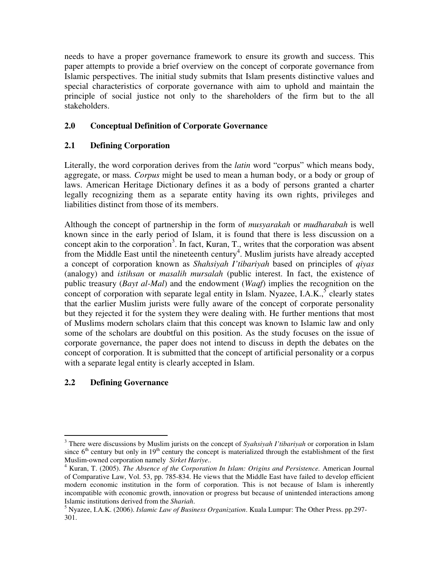needs to have a proper governance framework to ensure its growth and success. This paper attempts to provide a brief overview on the concept of corporate governance from Islamic perspectives. The initial study submits that Islam presents distinctive values and special characteristics of corporate governance with aim to uphold and maintain the principle of social justice not only to the shareholders of the firm but to the all stakeholders.

# **2.0 Conceptual Definition of Corporate Governance**

# **2.1 Defining Corporation**

Literally, the word corporation derives from the *latin* word "corpus" which means body, aggregate, or mass*. Corpus* might be used to mean a human body, or a body or group of laws. American Heritage Dictionary defines it as a body of persons granted a charter legally recognizing them as a separate entity having its own rights, privileges and liabilities distinct from those of its members.

Although the concept of partnership in the form of *musyarakah* or *mudharabah* is well known since in the early period of Islam, it is found that there is less discussion on a concept akin to the corporation<sup>3</sup>. In fact, Kuran, T., writes that the corporation was absent from the Middle East until the nineteenth century<sup>4</sup>. Muslim jurists have already accepted a concept of corporation known as *Shahsiyah I'tibariyah* based on principles of *qiyas* (analogy) and *istihsan* or *masalih mursalah* (public interest. In fact, the existence of public treasury (*Bayt al-Mal*) and the endowment (*Waqf*) implies the recognition on the concept of corporation with separate legal entity in Islam. Nyazee, I.A.K.,  $5$  clearly states that the earlier Muslim jurists were fully aware of the concept of corporate personality but they rejected it for the system they were dealing with. He further mentions that most of Muslims modern scholars claim that this concept was known to Islamic law and only some of the scholars are doubtful on this position. As the study focuses on the issue of corporate governance, the paper does not intend to discuss in depth the debates on the concept of corporation. It is submitted that the concept of artificial personality or a corpus with a separate legal entity is clearly accepted in Islam.

# **2.2 Defining Governance**

 $\overline{a}$ 3 There were discussions by Muslim jurists on the concept of *Syahsiyah I'tibariyah* or corporation in Islam since  $6<sup>th</sup>$  century but only in 19<sup>th</sup> century the concept is materialized through the establishment of the first Muslim-owned corporation namely *Sirket Hariye..*

<sup>&</sup>lt;sup>4</sup> Kuran, T. (2005). *The Absence of the Corporation In Islam: Origins and Persistence. American Journal* of Comparative Law, Vol. 53, pp. 785-834. He views that the Middle East have failed to develop efficient modern economic institution in the form of corporation. This is not because of Islam is inherently incompatible with economic growth, innovation or progress but because of unintended interactions among Islamic institutions derived from the *Shariah*.

<sup>5</sup> Nyazee, I.A.K. (2006). *Islamic Law of Business Organization*. Kuala Lumpur: The Other Press. pp.297- 301.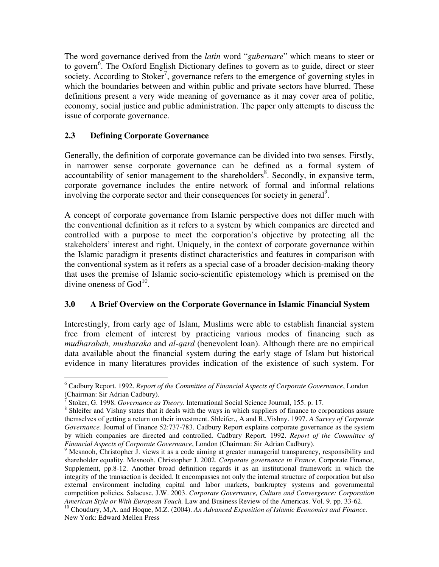The word governance derived from the *latin* word "*gubernare*" which means to steer or to govern<sup>6</sup>. The Oxford English Dictionary defines to govern as to guide, direct or steer society. According to Stoker<sup>7</sup>, governance refers to the emergence of governing styles in which the boundaries between and within public and private sectors have blurred. These definitions present a very wide meaning of governance as it may cover area of politic, economy, social justice and public administration. The paper only attempts to discuss the issue of corporate governance.

# **2.3 Defining Corporate Governance**

Generally, the definition of corporate governance can be divided into two senses. Firstly, in narrower sense corporate governance can be defined as a formal system of accountability of senior management to the shareholders<sup>8</sup>. Secondly, in expansive term, corporate governance includes the entire network of formal and informal relations involving the corporate sector and their consequences for society in general<sup>9</sup>.

A concept of corporate governance from Islamic perspective does not differ much with the conventional definition as it refers to a system by which companies are directed and controlled with a purpose to meet the corporation's objective by protecting all the stakeholders' interest and right. Uniquely, in the context of corporate governance within the Islamic paradigm it presents distinct characteristics and features in comparison with the conventional system as it refers as a special case of a broader decision-making theory that uses the premise of Islamic socio-scientific epistemology which is premised on the divine oneness of  $God<sup>10</sup>$ .

## **3.0 A Brief Overview on the Corporate Governance in Islamic Financial System**

Interestingly, from early age of Islam, Muslims were able to establish financial system free from element of interest by practicing various modes of financing such as *mudharabah, musharaka* and *al-qard* (benevolent loan). Although there are no empirical data available about the financial system during the early stage of Islam but historical evidence in many literatures provides indication of the existence of such system. For

 $\overline{a}$ 6 Cadbury Report. 1992. *Report of the Committee of Financial Aspects of Corporate Governance*, London (Chairman: Sir Adrian Cadbury).

<sup>7</sup> Stoker, G. 1998. *Governance as Theory*. International Social Science Journal, 155. p. 17.

<sup>&</sup>lt;sup>8</sup> Shleifer and Vishny states that it deals with the ways in which suppliers of finance to corporations assure themselves of getting a return on their investment. Shleifer., A and R.,Vishny. 1997. *A Survey of Corporate Governance.* Journal of Finance 52:737-783. Cadbury Report explains corporate governance as the system by which companies are directed and controlled. Cadbury Report. 1992. *Report of the Committee of Financial Aspects of Corporate Governance*, London (Chairman: Sir Adrian Cadbury).

<sup>&</sup>lt;sup>9</sup> Mesnooh, Christopher J. views it as a code aiming at greater managerial transparency, responsibility and shareholder equality. Mesnooh, Christopher J. 2002. *Corporate governance in France.* Corporate Finance, Supplement, pp.8-12. Another broad definition regards it as an institutional framework in which the integrity of the transaction is decided. It encompasses not only the internal structure of corporation but also external environment including capital and labor markets, bankruptcy systems and governmental competition policies. Salacuse, J.W. 2003. *Corporate Governance, Culture and Convergence: Corporation American Style or With European Touch.* Law and Business Review of the Americas. Vol. 9. pp. 33-62.

<sup>10</sup> Choudury, M,A. and Hoque, M.Z. (2004). *An Advanced Exposition of Islamic Economics and Finance.* New York: Edward Mellen Press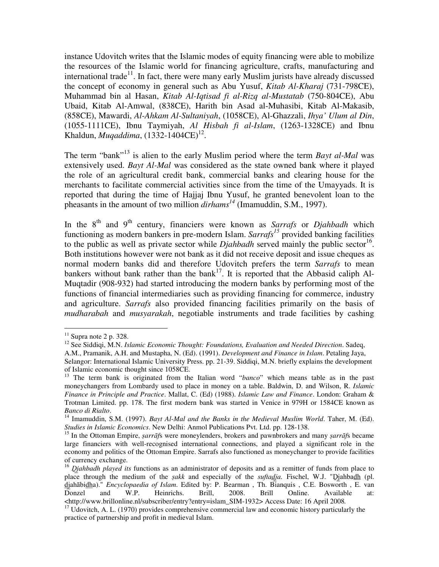instance Udovitch writes that the Islamic modes of equity financing were able to mobilize the resources of the Islamic world for financing agriculture, crafts, manufacturing and international trade<sup>11</sup>. In fact, there were many early Muslim jurists have already discussed the concept of economy in general such as Abu Yusuf, *Kitab Al-Kharaj* (731-798CE), Muhammad bin al Hasan, *Kitab Al-Iqtisad fi al-Rizq al-Mustatab* (750-804CE), Abu Ubaid, Kitab Al-Amwal, (838CE), Harith bin Asad al-Muhasibi, Kitab Al-Makasib, (858CE), Mawardi, *Al-Ahkam Al-Sultaniyah*, (1058CE), Al-Ghazzali, *Ihya' Ulum al Din*, (1055-1111CE), Ibnu Taymiyah, *Al Hisbah fi al-Islam*, (1263-1328CE) and Ibnu Khaldun, *Muqaddima*,  $(1332 - 1404CE)^{12}$ .

The term "bank"<sup>13</sup> is alien to the early Muslim period where the term *Bayt al-Mal* was extensively used. *Bayt Al-Mal* was considered as the state owned bank where it played the role of an agricultural credit bank, commercial banks and clearing house for the merchants to facilitate commercial activities since from the time of the Umayyads. It is reported that during the time of Hajjaj Ibnu Yusuf, he granted benevolent loan to the pheasants in the amount of two million *dirhams<sup>14</sup>* (Imamuddin, S.M., 1997).

In the 8th and 9th century, financiers were known as *Sarrafs* or *Djahbadh* which functioning as modern bankers in pre-modern Islam. *Sarrafs<sup>15</sup>* provided banking facilities to the public as well as private sector while  $Djahbadh$  served mainly the public sector<sup>16</sup>. Both institutions however were not bank as it did not receive deposit and issue cheques as normal modern banks did and therefore Udovitch prefers the term *Sarrafs* to mean bankers without bank rather than the bank<sup>17</sup>. It is reported that the Abbasid caliph Al-Muqtadir (908-932) had started introducing the modern banks by performing most of the functions of financial intermediaries such as providing financing for commerce, industry and agriculture. *Sarrafs* also provided financing facilities primarily on the basis of *mudharabah* and *musyarakah*, negotiable instruments and trade facilities by cashing

 $\overline{a}$ 

 $11$  Supra note 2 p. 328.

<sup>12</sup> See Siddiqi, M.N. *Islamic Economic Thought: Foundations, Evaluation and Needed Direction*. Sadeq,

A.M., Pramanik, A.H. and Mustapha, N. (Ed). (1991). *Development and Finance in Islam*. Petaling Jaya,

Selangor: International Islamic University Press. pp. 21-39. Siddiqi, M.N. briefly explains the development of Islamic economic thought since 1058CE.

<sup>&</sup>lt;sup>13</sup> The term bank is originated from the Italian word "*banco*" which means table as in the past moneychangers from Lombardy used to place in money on a table. Baldwin, D. and Wilson, R. *Islamic Finance in Principle and Practice*. Mallat, C. (Ed) (1988). *Islamic Law and Finance*. London: Graham & Trotman Limited. pp. 178. The first modern bank was started in Venice in 979H or 1584CE known as *Banco di Rialto*.

<sup>&</sup>lt;sup>14</sup> Imamuddin, S.M. (1997). *Bayt Al-Mal and the Banks in the Medieval Muslim World*. Taher, M. (Ed). *Studies in Islamic Economics*. New Delhi: Anmol Publications Pvt. Ltd. pp. 128-138.

<sup>15</sup> In the Ottoman Empire, ṣ*arr*ā*f*s were moneylenders, brokers and pawnbrokers and many ṣ*arr*ā*f*s became large financiers with well-recognised international connections, and played a significant role in the economy and politics of the Ottoman Empire. Sarrafs also functioned as moneychanger to provide facilities of currency exchange.

<sup>&</sup>lt;sup>16</sup> Djahbadh played its functions as an administrator of deposits and as a remitter of funds from place to place through the medium of the *sakk* and especially of the *suftadja*. Fischel, W.J. "Djahbadh *(pl.* djahābidha)." *Encyclopaedia of Islam*. Edited by: P. Bearman, Th. Bianquis, C.E. Bosworth, E. van<br>Donzel and W.P. Heinrichs. Brill, 2008. Brill Online. Available at: Donzel and W.P. Heinrichs. Brill, 2008. Brill Online. Available at: <http://www.brillonline.nl/subscriber/entry?entry=islam\_SIM-1932> Access Date: 16 April 2008*.* 

<sup>&</sup>lt;sup>17</sup> Udovitch, A. L. (1970) provides comprehensive commercial law and economic history particularly the practice of partnership and profit in medieval Islam.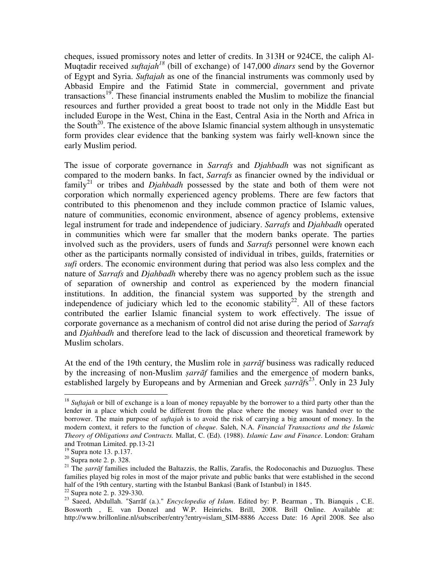cheques, issued promissory notes and letter of credits. In 313H or 924CE, the caliph Al-Muqtadir received *suftajah<sup>18</sup>* (bill of exchange) of 147,000 *dinars* send by the Governor of Egypt and Syria. *Suftajah* as one of the financial instruments was commonly used by Abbasid Empire and the Fatimid State in commercial, government and private transactions<sup>19</sup>. These financial instruments enabled the Muslim to mobilize the financial resources and further provided a great boost to trade not only in the Middle East but included Europe in the West, China in the East, Central Asia in the North and Africa in the South<sup>20</sup>. The existence of the above Islamic financial system although in unsystematic form provides clear evidence that the banking system was fairly well-known since the early Muslim period.

The issue of corporate governance in *Sarrafs* and *Djahbadh* was not significant as compared to the modern banks. In fact, *Sarrafs* as financier owned by the individual or family<sup>21</sup> or tribes and *Djahbadh* possessed by the state and both of them were not corporation which normally experienced agency problems. There are few factors that contributed to this phenomenon and they include common practice of Islamic values, nature of communities, economic environment, absence of agency problems, extensive legal instrument for trade and independence of judiciary. *Sarrafs* and *Djahbadh* operated in communities which were far smaller that the modern banks operate. The parties involved such as the providers, users of funds and *Sarrafs* personnel were known each other as the participants normally consisted of individual in tribes, guilds, fraternities or *sufi* orders. The economic environment during that period was also less complex and the nature of *Sarrafs* and *Djahbadh* whereby there was no agency problem such as the issue of separation of ownership and control as experienced by the modern financial institutions. In addition, the financial system was supported by the strength and independence of judiciary which led to the economic stability<sup>22</sup>. All of these factors contributed the earlier Islamic financial system to work effectively. The issue of corporate governance as a mechanism of control did not arise during the period of *Sarrafs* and *Djahbadh* and therefore lead to the lack of discussion and theoretical framework by Muslim scholars.

At the end of the 19th century, the Muslim role in ṣ*arr*ā*f* business was radically reduced by the increasing of non-Muslim ṣ*arr*ā*f* families and the emergence of modern banks, established largely by Europeans and by Armenian and Greek *sarrāfs*<sup>23</sup>. Only in 23 July

 $\overline{a}$ 

<sup>22</sup> Supra note 2. p. 329-330.

<sup>&</sup>lt;sup>18</sup> Suftajah or bill of exchange is a loan of money repayable by the borrower to a third party other than the lender in a place which could be different from the place where the money was handed over to the borrower. The main purpose of *suftajah* is to avoid the risk of carrying a big amount of money. In the modern context, it refers to the function of *cheque*. Saleh, N.A. *Financial Transactions and the Islamic Theory of Obligations and Contracts.* Mallat, C. (Ed). (1988). *Islamic Law and Finance*. London: Graham and Trotman Limited. pp.13-21

<sup>19</sup> Supra note 13. p.137.

 $20$  Supra note 2. p. 328.

<sup>&</sup>lt;sup>21</sup> The *sarrāf* families included the Baltazzis, the Rallis, Zarafis, the Rodoconachis and Duzuoglus. These families played big roles in most of the major private and public banks that were established in the second half of the 19th century, starting with the Istanbul Bankasi (Bank of Istanbul) in 1845.

<sup>23</sup> Saeed, Abdullah. "Ṣarrāf (a.)." *Encyclopedia of Islam*. Edited by: P. Bearman , Th. Bianquis , C.E. Bosworth , E. van Donzel and W.P. Heinrichs. Brill, 2008. Brill Online. Available at: http://www.brillonline.nl/subscriber/entry?entry=islam\_SIM-8886 Access Date: 16 April 2008. See also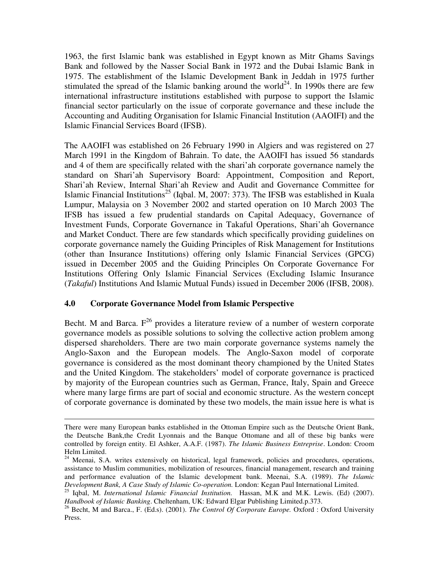1963, the first Islamic bank was established in Egypt known as Mitr Ghams Savings Bank and followed by the Nasser Social Bank in 1972 and the Dubai Islamic Bank in 1975. The establishment of the Islamic Development Bank in Jeddah in 1975 further stimulated the spread of the Islamic banking around the world<sup>24</sup>. In 1990s there are few international infrastructure institutions established with purpose to support the Islamic financial sector particularly on the issue of corporate governance and these include the Accounting and Auditing Organisation for Islamic Financial Institution (AAOIFI) and the Islamic Financial Services Board (IFSB).

The AAOIFI was established on 26 February 1990 in Algiers and was registered on 27 March 1991 in the Kingdom of Bahrain. To date, the AAOIFI has issued 56 standards and 4 of them are specifically related with the shari'ah corporate governance namely the standard on Shari'ah Supervisory Board: Appointment, Composition and Report, Shari'ah Review, Internal Shari'ah Review and Audit and Governance Committee for Islamic Financial Institutions<sup>25</sup> (Iqbal. M, 2007: 373). The IFSB was established in Kuala Lumpur, Malaysia on 3 November 2002 and started operation on 10 March 2003 The IFSB has issued a few prudential standards on Capital Adequacy, Governance of Investment Funds, Corporate Governance in Takaful Operations, Shari'ah Governance and Market Conduct. There are few standards which specifically providing guidelines on corporate governance namely the Guiding Principles of Risk Management for Institutions (other than Insurance Institutions) offering only Islamic Financial Services (GPCG) issued in December 2005 and the Guiding Principles On Corporate Governance For Institutions Offering Only Islamic Financial Services (Excluding Islamic Insurance (*Takaful*) Institutions And Islamic Mutual Funds) issued in December 2006 (IFSB, 2008).

#### **4.0 Corporate Governance Model from Islamic Perspective**

 $\overline{a}$ 

Becht. M and Barca.  $F^{26}$  provides a literature review of a number of western corporate governance models as possible solutions to solving the collective action problem among dispersed shareholders. There are two main corporate governance systems namely the Anglo-Saxon and the European models. The Anglo-Saxon model of corporate governance is considered as the most dominant theory championed by the United States and the United Kingdom. The stakeholders' model of corporate governance is practiced by majority of the European countries such as German, France, Italy, Spain and Greece where many large firms are part of social and economic structure. As the western concept of corporate governance is dominated by these two models, the main issue here is what is

There were many European banks established in the Ottoman Empire such as the Deutsche Orient Bank, the Deutsche Bank,the Credit Lyonnais and the Banque Ottomane and all of these big banks were controlled by foreign entity. El Ashker, A.A.F. (1987). *The Islamic Business Entreprise*. London: Croom Helm Limited.

<sup>&</sup>lt;sup>24</sup> Meenai, S.A. writes extensively on historical, legal framework, policies and procedures, operations, assistance to Muslim communities, mobilization of resources, financial management, research and training and performance evaluation of the Islamic development bank. Meenai, S.A. (1989). *The Islamic Development Bank, A Case Study of Islamic Co-operation.* London: Kegan Paul International Limited.

<sup>25</sup> Iqbal, M. *International Islamic Financial Institution.* Hassan, M.K and M.K. Lewis. (Ed) (2007). *Handbook of Islamic Banking*. Cheltenham, UK: Edward Elgar Publishing Limited.p.373.

<sup>26</sup> Becht, M and Barca., F. (Ed.s). (2001). *The Control Of Corporate Europe.* Oxford : Oxford University Press.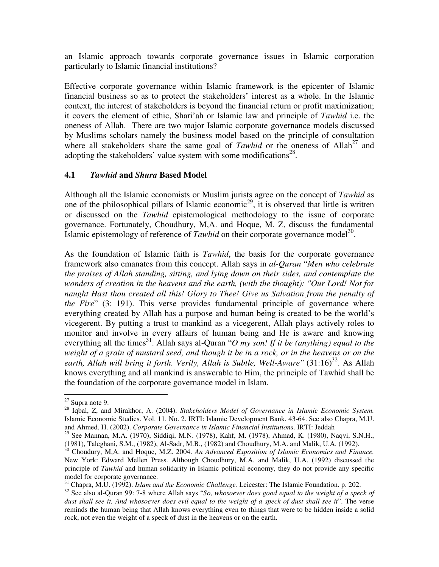an Islamic approach towards corporate governance issues in Islamic corporation particularly to Islamic financial institutions?

Effective corporate governance within Islamic framework is the epicenter of Islamic financial business so as to protect the stakeholders' interest as a whole. In the Islamic context, the interest of stakeholders is beyond the financial return or profit maximization; it covers the element of ethic, Shari'ah or Islamic law and principle of *Tawhid* i.e. the oneness of Allah. There are two major Islamic corporate governance models discussed by Muslims scholars namely the business model based on the principle of consultation where all stakeholders share the same goal of *Tawhid* or the oneness of Allah<sup>27</sup> and adopting the stakeholders' value system with some modifications<sup>28</sup>.

### **4.1** *Tawhid* **and** *Shura* **Based Model**

Although all the Islamic economists or Muslim jurists agree on the concept of *Tawhid* as one of the philosophical pillars of Islamic economic<sup>29</sup>, it is observed that little is written or discussed on the *Tawhid* epistemological methodology to the issue of corporate governance. Fortunately, Choudhury, M,A. and Hoque, M. Z, discuss the fundamental Islamic epistemology of reference of *Tawhid* on their corporate governance model<sup>30</sup>.

As the foundation of Islamic faith is *Tawhid*, the basis for the corporate governance framework also emanates from this concept. Allah says in *al-Quran* "*Men who celebrate the praises of Allah standing, sitting, and lying down on their sides, and contemplate the wonders of creation in the heavens and the earth, (with the thought): "Our Lord! Not for naught Hast thou created all this! Glory to Thee! Give us Salvation from the penalty of the Fire*" (3: 191). This verse provides fundamental principle of governance where everything created by Allah has a purpose and human being is created to be the world's vicegerent. By putting a trust to mankind as a vicegerent, Allah plays actively roles to monitor and involve in every affairs of human being and He is aware and knowing everything all the times<sup>31</sup>. Allah says al-Quran "*O* my son! If it be (anything) equal to the weight of a grain of mustard seed, and though it be in a rock, or in the heavens or on the earth, Allah will bring it forth. Verily, Allah is Subtle, Well-Aware'' (31:16)<sup>32</sup>. As Allah knows everything and all mankind is answerable to Him, the principle of Tawhid shall be the foundation of the corporate governance model in Islam.

 $\overline{a}$  $27$  Supra note 9.

<sup>28</sup> Iqbal, Z, and Mirakhor, A. (2004). *Stakeholders Model of Governance in Islamic Economic System.* Islamic Economic Studies. Vol. 11. No. 2. IRTI: Islamic Development Bank. 43-64. See also Chapra, M.U. and Ahmed, H. (2002). *Corporate Governance in Islamic Financial Institutions*. IRTI: Jeddah

<sup>&</sup>lt;sup>29</sup> See Mannan, M.A. (1970), Siddiqi, M.N. (1978), Kahf, M. (1978), Ahmad, K. (1980), Naqvi, S.N.H., (1981), Taleghani, S.M., (1982), Al-Sadr, M.B., (1982) and Choudhury, M.A. and Malik, U.A. (1992).

<sup>30</sup> Choudury, M,A. and Hoque, M.Z. 2004. *An Advanced Exposition of Islamic Economics and Finance.* New York: Edward Mellen Press. Although Choudhury, M.A. and Malik, U.A. (1992) discussed the principle of *Tawhid* and human solidarity in Islamic political economy, they do not provide any specific model for corporate governance.

<sup>31</sup> Chapra, M.U. (1992). *Islam and the Economic Challenge.* Leicester: The Islamic Foundation. p. 202.

<sup>32</sup> See also al-Quran 99: 7-8 where Allah says "*So, whosoever does good equal to the weight of a speck of dust shall see it. And whosoever does evil equal to the weight of a speck of dust shall see it*". The verse reminds the human being that Allah knows everything even to things that were to be hidden inside a solid rock, not even the weight of a speck of dust in the heavens or on the earth.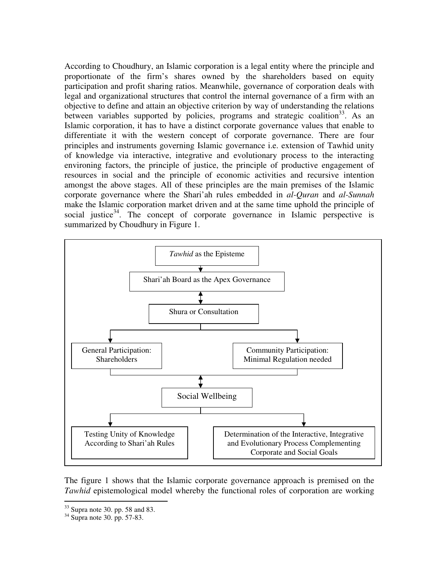According to Choudhury, an Islamic corporation is a legal entity where the principle and proportionate of the firm's shares owned by the shareholders based on equity participation and profit sharing ratios. Meanwhile, governance of corporation deals with legal and organizational structures that control the internal governance of a firm with an objective to define and attain an objective criterion by way of understanding the relations between variables supported by policies, programs and strategic coalition<sup>33</sup>. As an Islamic corporation, it has to have a distinct corporate governance values that enable to differentiate it with the western concept of corporate governance. There are four principles and instruments governing Islamic governance i.e. extension of Tawhid unity of knowledge via interactive, integrative and evolutionary process to the interacting environing factors, the principle of justice, the principle of productive engagement of resources in social and the principle of economic activities and recursive intention amongst the above stages. All of these principles are the main premises of the Islamic corporate governance where the Shari'ah rules embedded in *al-Quran* and *al-Sunnah* make the Islamic corporation market driven and at the same time uphold the principle of social justice<sup>34</sup>. The concept of corporate governance in Islamic perspective is summarized by Choudhury in Figure 1.



The figure 1 shows that the Islamic corporate governance approach is premised on the *Tawhid* epistemological model whereby the functional roles of corporation are working

 $\overline{a}$  $33$  Supra note 30. pp. 58 and 83.

 $34$  Supra note 30. pp. 57-83.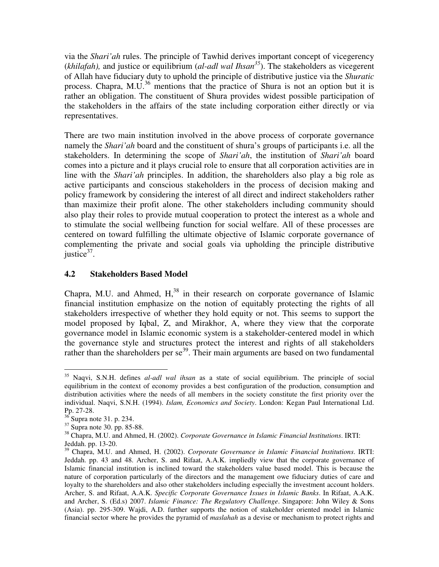via the *Shari'ah* rules. The principle of Tawhid derives important concept of vicegerency (*khilafah),* and justice or equilibrium (*al-adl wal Ihsan<sup>35</sup>*). The stakeholders as vicegerent of Allah have fiduciary duty to uphold the principle of distributive justice via the *Shuratic* process. Chapra, M.U.<sup>36</sup> mentions that the practice of Shura is not an option but it is rather an obligation. The constituent of Shura provides widest possible participation of the stakeholders in the affairs of the state including corporation either directly or via representatives.

There are two main institution involved in the above process of corporate governance namely the *Shari'ah* board and the constituent of shura's groups of participants i.e. all the stakeholders. In determining the scope of *Shari'ah*, the institution of *Shari'ah* board comes into a picture and it plays crucial role to ensure that all corporation activities are in line with the *Shari'ah* principles. In addition, the shareholders also play a big role as active participants and conscious stakeholders in the process of decision making and policy framework by considering the interest of all direct and indirect stakeholders rather than maximize their profit alone. The other stakeholders including community should also play their roles to provide mutual cooperation to protect the interest as a whole and to stimulate the social wellbeing function for social welfare. All of these processes are centered on toward fulfilling the ultimate objective of Islamic corporate governance of complementing the private and social goals via upholding the principle distributive justice $37$ .

## **4.2 Stakeholders Based Model**

Chapra, M.U. and Ahmed,  $H<sub>1</sub><sup>38</sup>$  in their research on corporate governance of Islamic financial institution emphasize on the notion of equitably protecting the rights of all stakeholders irrespective of whether they hold equity or not. This seems to support the model proposed by Iqbal, Z, and Mirakhor, A, where they view that the corporate governance model in Islamic economic system is a stakeholder-centered model in which the governance style and structures protect the interest and rights of all stakeholders rather than the shareholders per se $39$ . Their main arguments are based on two fundamental

 $\overline{a}$ <sup>35</sup> Naqvi, S.N.H. defines *al-adl wal ihsan* as a state of social equilibrium. The principle of social equilibrium in the context of economy provides a best configuration of the production, consumption and distribution activities where the needs of all members in the society constitute the first priority over the individual. Naqvi, S.N.H. (1994). *Islam, Economics and Society*. London: Kegan Paul International Ltd. Pp. 27-28.

 $36$  Supra note 31. p. 234.

 $37$  Supra note 30, pp. 85-88.

<sup>38</sup> Chapra, M.U. and Ahmed, H. (2002). *Corporate Governance in Islamic Financial Institutions*. IRTI: Jeddah. pp. 13-20.

<sup>39</sup> Chapra, M.U. and Ahmed, H. (2002). *Corporate Governance in Islamic Financial Institutions*. IRTI: Jeddah. pp. 43 and 48. Archer, S. and Rifaat, A.A.K. impliedly view that the corporate governance of Islamic financial institution is inclined toward the stakeholders value based model. This is because the nature of corporation particularly of the directors and the management owe fiduciary duties of care and loyalty to the shareholders and also other stakeholders including especially the investment account holders. Archer, S. and Rifaat, A.A.K. *Specific Corporate Governance Issues in Islamic Banks*. In Rifaat, A.A.K. and Archer, S. (Ed.s) 2007. *Islamic Finance: The Regulatory Challenge*. Singapore: John Wiley & Sons (Asia). pp. 295-309. Wajdi, A.D. further supports the notion of stakeholder oriented model in Islamic financial sector where he provides the pyramid of *maslahah* as a devise or mechanism to protect rights and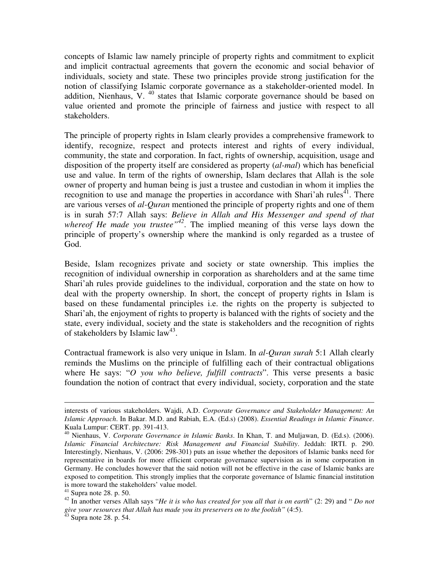concepts of Islamic law namely principle of property rights and commitment to explicit and implicit contractual agreements that govern the economic and social behavior of individuals, society and state. These two principles provide strong justification for the notion of classifying Islamic corporate governance as a stakeholder-oriented model. In addition, Nienhaus, V.  $^{40}$  states that Islamic corporate governance should be based on value oriented and promote the principle of fairness and justice with respect to all stakeholders.

The principle of property rights in Islam clearly provides a comprehensive framework to identify, recognize, respect and protects interest and rights of every individual, community, the state and corporation. In fact, rights of ownership, acquisition, usage and disposition of the property itself are considered as property (*al-mal*) which has beneficial use and value. In term of the rights of ownership, Islam declares that Allah is the sole owner of property and human being is just a trustee and custodian in whom it implies the recognition to use and manage the properties in accordance with Shari'ah rules<sup>41</sup>. There are various verses of *al-Quran* mentioned the principle of property rights and one of them is in surah 57:7 Allah says: *Believe in Allah and His Messenger and spend of that whereof He made you trustee"<sup>42</sup>*. The implied meaning of this verse lays down the principle of property's ownership where the mankind is only regarded as a trustee of God.

Beside, Islam recognizes private and society or state ownership. This implies the recognition of individual ownership in corporation as shareholders and at the same time Shari'ah rules provide guidelines to the individual, corporation and the state on how to deal with the property ownership. In short, the concept of property rights in Islam is based on these fundamental principles i.e. the rights on the property is subjected to Shari'ah, the enjoyment of rights to property is balanced with the rights of society and the state, every individual, society and the state is stakeholders and the recognition of rights of stakeholders by Islamic  $law<sup>43</sup>$ .

Contractual framework is also very unique in Islam. In *al-Quran surah* 5:1 Allah clearly reminds the Muslims on the principle of fulfilling each of their contractual obligations where He says: "*O you who believe, fulfill contracts*". This verse presents a basic foundation the notion of contract that every individual, society, corporation and the state

 $\overline{a}$ 

interests of various stakeholders. Wajdi, A.D. *Corporate Governance and Stakeholder Management: An Islamic Approach*. In Bakar. M.D. and Rabiah, E.A. (Ed.s) (2008). *Essential Readings in Islamic Finance*. Kuala Lumpur: CERT. pp. 391-413.

<sup>40</sup> Nienhaus, V. *Corporate Governance in Islamic Banks*. In Khan, T. and Muljawan, D. (Ed.s). (2006). *Islamic Financial Architecture: Risk Management and Financial Stability*. Jeddah: IRTI. p. 290. Interestingly, Nienhaus, V. (2006: 298-301) puts an issue whether the depositors of Islamic banks need for representative in boards for more efficient corporate governance supervision as in some corporation in Germany. He concludes however that the said notion will not be effective in the case of Islamic banks are exposed to competition. This strongly implies that the corporate governance of Islamic financial institution is more toward the stakeholders' value model.

 $41$  Supra note 28. p. 50.

<sup>42</sup> In another verses Allah says "*He it is who has created for you all that is on earth*" (2: 29) and " *Do not give your resources that Allah has made you its preservers on to the foolish"* (4:5).

 $43$  Supra note 28. p. 54.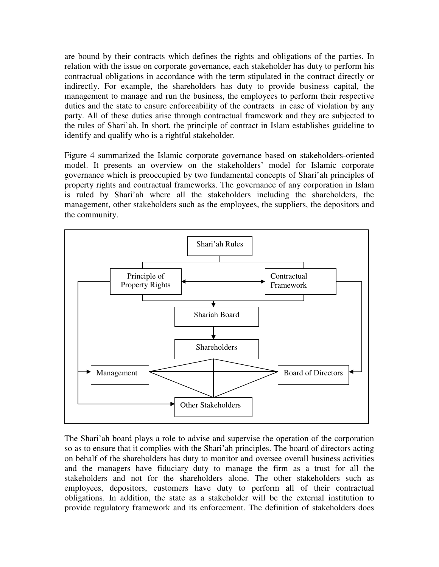are bound by their contracts which defines the rights and obligations of the parties. In relation with the issue on corporate governance, each stakeholder has duty to perform his contractual obligations in accordance with the term stipulated in the contract directly or indirectly. For example, the shareholders has duty to provide business capital, the management to manage and run the business, the employees to perform their respective duties and the state to ensure enforceability of the contracts in case of violation by any party. All of these duties arise through contractual framework and they are subjected to the rules of Shari'ah. In short, the principle of contract in Islam establishes guideline to identify and qualify who is a rightful stakeholder.

Figure 4 summarized the Islamic corporate governance based on stakeholders-oriented model. It presents an overview on the stakeholders' model for Islamic corporate governance which is preoccupied by two fundamental concepts of Shari'ah principles of property rights and contractual frameworks. The governance of any corporation in Islam is ruled by Shari'ah where all the stakeholders including the shareholders, the management, other stakeholders such as the employees, the suppliers, the depositors and the community.



The Shari'ah board plays a role to advise and supervise the operation of the corporation so as to ensure that it complies with the Shari'ah principles. The board of directors acting on behalf of the shareholders has duty to monitor and oversee overall business activities and the managers have fiduciary duty to manage the firm as a trust for all the stakeholders and not for the shareholders alone. The other stakeholders such as employees, depositors, customers have duty to perform all of their contractual obligations. In addition, the state as a stakeholder will be the external institution to provide regulatory framework and its enforcement. The definition of stakeholders does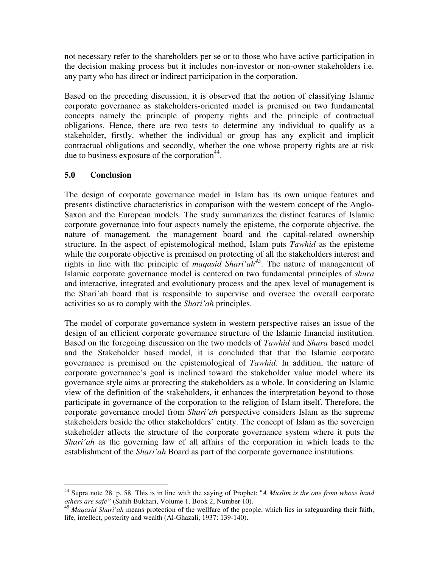not necessary refer to the shareholders per se or to those who have active participation in the decision making process but it includes non-investor or non-owner stakeholders i.e. any party who has direct or indirect participation in the corporation.

Based on the preceding discussion, it is observed that the notion of classifying Islamic corporate governance as stakeholders-oriented model is premised on two fundamental concepts namely the principle of property rights and the principle of contractual obligations. Hence, there are two tests to determine any individual to qualify as a stakeholder, firstly, whether the individual or group has any explicit and implicit contractual obligations and secondly, whether the one whose property rights are at risk due to business exposure of the corporation $44$ .

## **5.0 Conclusion**

The design of corporate governance model in Islam has its own unique features and presents distinctive characteristics in comparison with the western concept of the Anglo-Saxon and the European models. The study summarizes the distinct features of Islamic corporate governance into four aspects namely the episteme, the corporate objective, the nature of management, the management board and the capital-related ownership structure. In the aspect of epistemological method, Islam puts *Tawhid* as the episteme while the corporate objective is premised on protecting of all the stakeholders interest and rights in line with the principle of *maqasid Shari'ah<sup>45</sup>*. The nature of management of Islamic corporate governance model is centered on two fundamental principles of *shura* and interactive, integrated and evolutionary process and the apex level of management is the Shari'ah board that is responsible to supervise and oversee the overall corporate activities so as to comply with the *Shari'ah* principles.

The model of corporate governance system in western perspective raises an issue of the design of an efficient corporate governance structure of the Islamic financial institution. Based on the foregoing discussion on the two models of *Tawhid* and *Shura* based model and the Stakeholder based model, it is concluded that that the Islamic corporate governance is premised on the epistemological of *Tawhid*. In addition, the nature of corporate governance's goal is inclined toward the stakeholder value model where its governance style aims at protecting the stakeholders as a whole. In considering an Islamic view of the definition of the stakeholders, it enhances the interpretation beyond to those participate in governance of the corporation to the religion of Islam itself. Therefore, the corporate governance model from *Shari'ah* perspective considers Islam as the supreme stakeholders beside the other stakeholders' entity. The concept of Islam as the sovereign stakeholder affects the structure of the corporate governance system where it puts the *Shari'ah* as the governing law of all affairs of the corporation in which leads to the establishment of the *Shari'ah* Board as part of the corporate governance institutions.

 $\overline{a}$ <sup>44</sup> Supra note 28. p. 58. This is in line with the saying of Prophet: "*A Muslim is the one from whose hand others are safe"* (Sahih Bukhari, Volume 1, Book 2, Number 10).

<sup>45</sup> *Maqasid Shari'ah* means protection of the wellfare of the people, which lies in safeguarding their faith, life, intellect, posterity and wealth (Al-Ghazali, 1937: 139-140).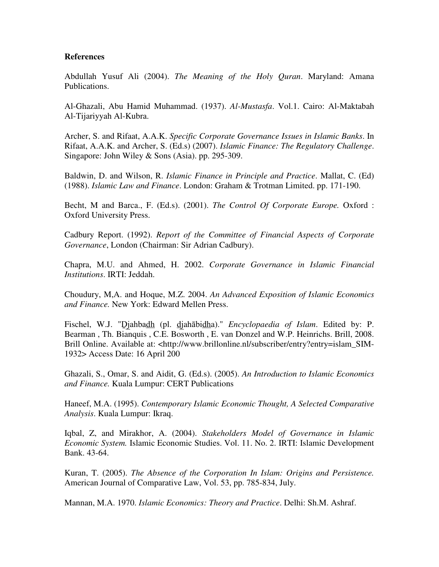#### **References**

Abdullah Yusuf Ali (2004). *The Meaning of the Holy Quran*. Maryland: Amana Publications.

Al-Ghazali, Abu Hamid Muhammad. (1937). *Al-Mustasfa*. Vol.1. Cairo: Al-Maktabah Al-Tijariyyah Al-Kubra.

Archer, S. and Rifaat, A.A.K. *Specific Corporate Governance Issues in Islamic Banks*. In Rifaat, A.A.K. and Archer, S. (Ed.s) (2007). *Islamic Finance: The Regulatory Challenge*. Singapore: John Wiley & Sons (Asia). pp. 295-309.

Baldwin, D. and Wilson, R. *Islamic Finance in Principle and Practice*. Mallat, C. (Ed) (1988). *Islamic Law and Finance*. London: Graham & Trotman Limited. pp. 171-190.

Becht, M and Barca., F. (Ed.s). (2001). *The Control Of Corporate Europe.* Oxford : Oxford University Press.

Cadbury Report. (1992). *Report of the Committee of Financial Aspects of Corporate Governance*, London (Chairman: Sir Adrian Cadbury).

Chapra, M.U. and Ahmed, H. 2002. *Corporate Governance in Islamic Financial Institutions*. IRTI: Jeddah.

Choudury, M,A. and Hoque, M.Z. 2004. *An Advanced Exposition of Islamic Economics and Finance.* New York: Edward Mellen Press.

Fischel, W.J. "Djahbadh (pl. djahābidha)." *Encyclopaedia of Islam*. Edited by: P. Bearman , Th. Bianquis , C.E. Bosworth , E. van Donzel and W.P. Heinrichs. Brill, 2008. Brill Online. Available at: <http://www.brillonline.nl/subscriber/entry?entry=islam\_SIM-1932> Access Date: 16 April 200

Ghazali, S., Omar, S. and Aidit, G. (Ed.s). (2005). *An Introduction to Islamic Economics and Finance.* Kuala Lumpur: CERT Publications

Haneef, M.A. (1995). *Contemporary Islamic Economic Thought, A Selected Comparative Analysis*. Kuala Lumpur: Ikraq.

Iqbal, Z, and Mirakhor, A. (2004). *Stakeholders Model of Governance in Islamic Economic System.* Islamic Economic Studies. Vol. 11. No. 2. IRTI: Islamic Development Bank. 43-64.

Kuran, T. (2005). *The Absence of the Corporation In Islam: Origins and Persistence.*  American Journal of Comparative Law, Vol. 53, pp. 785-834, July.

Mannan, M.A. 1970. *Islamic Economics: Theory and Practice*. Delhi: Sh.M. Ashraf.